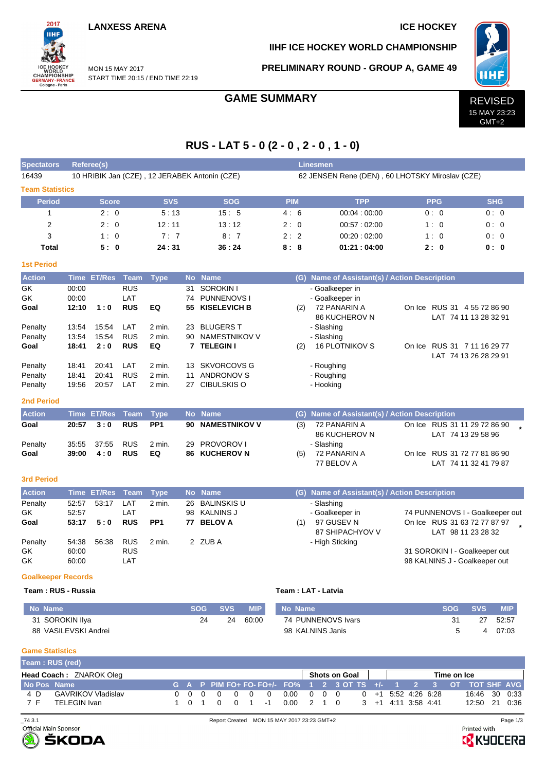## **LANXESS ARENA ICE HOCKEY**

2017 iщ

WORLD<br>CHAMPIONSHIP<br>GERMANY-FRANCE<br>Cologne-Paris

### **IIHF ICE HOCKEY WORLD CHAMPIONSHIP**

MON 15 MAY 2017 START TIME 20:15 / END TIME 22:19

## **PRELIMINARY ROUND - GROUP A, GAME 49**



GMT+2

# **RUS - LAT 5 - 0 (2 - 0 , 2 - 0 , 1 - 0)**

| <b>Spectators</b>      |                | <b>Referee(s)</b>  |                          |                 |          |                                               |            |     | <b>Linesmen</b>                                 |                                                    |            |  |
|------------------------|----------------|--------------------|--------------------------|-----------------|----------|-----------------------------------------------|------------|-----|-------------------------------------------------|----------------------------------------------------|------------|--|
| 16439                  |                |                    |                          |                 |          | 10 HRIBIK Jan (CZE), 12 JERABEK Antonin (CZE) |            |     | 62 JENSEN Rene (DEN), 60 LHOTSKY Miroslav (CZE) |                                                    |            |  |
| <b>Team Statistics</b> |                |                    |                          |                 |          |                                               |            |     |                                                 |                                                    |            |  |
| <b>Period</b>          |                | <b>Score</b>       |                          | <b>SVS</b>      |          | <b>SOG</b>                                    | <b>PIM</b> |     | <b>TPP</b>                                      | <b>PPG</b>                                         | <b>SHG</b> |  |
| 1                      |                | 2:0                |                          | 5:13            |          | 15:5                                          | 4:6        |     | 00:04:00:00                                     | 0:0                                                | 0:0        |  |
| $\overline{2}$         |                | 2:0                |                          | 12:11           |          | 13:12                                         | 2:0        |     | 00:57:02:00                                     | 1:0                                                | 0:0        |  |
| 3                      |                | 1:0                |                          | 7:7             |          | 8:7                                           | 2:2        |     | 00:20:02:00                                     | 1:0                                                | 0:0        |  |
| <b>Total</b>           |                | 5:0                |                          | 24:31           |          | 36:24                                         | 8:8        |     | 01:21:04:00                                     | 2:0                                                | 0:0        |  |
| <b>1st Period</b>      |                |                    |                          |                 |          |                                               |            |     |                                                 |                                                    |            |  |
| <b>Action</b>          |                | Time ET/Res        | Team                     | <b>Type</b>     |          | No Name                                       |            |     | (G) Name of Assistant(s) / Action Description   |                                                    |            |  |
| GK                     | 00:00          |                    | <b>RUS</b>               |                 | 31       | <b>SOROKIN I</b>                              |            |     | - Goalkeeper in                                 |                                                    |            |  |
| <b>GK</b>              | 00:00          |                    | LAT                      |                 | 74       | <b>PUNNENOVS I</b>                            |            |     | - Goalkeeper in                                 |                                                    |            |  |
| Goal                   | 12:10          | 1:0                | <b>RUS</b>               | EQ              | 55       | <b>KISELEVICH B</b>                           |            | (2) | 72 PANARIN A                                    | On Ice RUS 31 4 55 72 86 90                        |            |  |
| Penalty                | 13:54          | 15:54              | LAT                      | 2 min.          | 23       | <b>BLUGERS T</b>                              |            |     | 86 KUCHEROV N<br>- Slashing                     | LAT 74 11 13 28 32 91                              |            |  |
| Penalty                | 13:54          | 15:54              | <b>RUS</b>               | 2 min.          | 90       | NAMESTNIKOV V                                 |            |     | - Slashing                                      |                                                    |            |  |
| Goal                   | 18:41          | 2:0                | <b>RUS</b>               | EQ              | 7        | <b>TELEGIN I</b>                              |            | (2) | <b>16 PLOTNIKOV S</b>                           | On Ice RUS 31 7 11 16 29 77                        |            |  |
|                        |                |                    |                          |                 |          |                                               |            |     |                                                 | LAT 74 13 26 28 29 91                              |            |  |
| Penalty                | 18:41          | 20:41              | LAT                      | 2 min.          | 13       | <b>SKVORCOVS G</b>                            |            |     | - Roughing                                      |                                                    |            |  |
| Penalty                | 18:41          | 20:41              | <b>RUS</b>               | 2 min.          | 11       | <b>ANDRONOV S</b>                             |            |     | - Roughing                                      |                                                    |            |  |
| Penalty                | 19:56          | 20:57              | LAT                      | 2 min.          | 27       | <b>CIBULSKIS O</b>                            |            |     | - Hooking                                       |                                                    |            |  |
| <b>2nd Period</b>      |                |                    |                          |                 |          |                                               |            |     |                                                 |                                                    |            |  |
| <b>Action</b>          |                | <b>Time ET/Res</b> | <b>Team</b>              | <b>Type</b>     |          | No Name                                       |            |     | (G) Name of Assistant(s) / Action Description   |                                                    |            |  |
| Goal                   | 20:57          | 3:0                | <b>RUS</b>               | PP <sub>1</sub> | 90       | <b>NAMESTNIKOV V</b>                          |            | (3) | 72 PANARIN A                                    | On Ice RUS 31 11 29 72 86 90                       |            |  |
|                        |                |                    |                          |                 |          |                                               |            |     | 86 KUCHEROV N                                   | LAT 74 13 29 58 96                                 |            |  |
| Penalty<br>Goal        | 35:55<br>39:00 | 37:55<br>4:0       | <b>RUS</b><br><b>RUS</b> | 2 min.<br>EQ    | 29<br>86 | PROVOROV I<br><b>KUCHEROV N</b>               |            |     | - Slashing<br>72 PANARIN A                      | On Ice RUS 31 72 77 81 86 90                       |            |  |
|                        |                |                    |                          |                 |          |                                               |            | (5) | 77 BELOV A                                      | LAT 74 11 32 41 79 87                              |            |  |
|                        |                |                    |                          |                 |          |                                               |            |     |                                                 |                                                    |            |  |
| <b>3rd Period</b>      |                |                    |                          |                 |          |                                               |            |     |                                                 |                                                    |            |  |
| <b>Action</b>          |                | <b>Time ET/Res</b> | <b>Team</b>              | <b>Type</b>     |          | No Name                                       |            |     | (G) Name of Assistant(s) / Action Description   |                                                    |            |  |
| Penalty                | 52:57          | 53:17              | LAT                      | 2 min.          | 26       | <b>BALINSKIS U</b>                            |            |     | - Slashing                                      |                                                    |            |  |
| GK                     | 52:57          |                    | LAT                      |                 | 98       | <b>KALNINS J</b>                              |            |     | - Goalkeeper in                                 | 74 PUNNENOVS I - Goalkeeper out                    |            |  |
| Goal                   | 53:17          | 5:0                | <b>RUS</b>               | PP <sub>1</sub> | 77       | <b>BELOV A</b>                                |            | (1) | 97 GUSEV N<br>87 SHIPACHYOV V                   | On Ice RUS 31 63 72 77 87 97<br>LAT 98 11 23 28 32 |            |  |
| Penalty                | 54:38          | 56:38              | <b>RUS</b>               | 2 min.          |          | 2 ZUBA                                        |            |     | - High Sticking                                 |                                                    |            |  |
|                        |                |                    |                          |                 |          |                                               |            |     |                                                 | $ \sim  \sim $<br>$\sim$<br>$\cdots$               |            |  |

GK 60:00 RUS 31 SOROKIN I - Goalkeeper out 98 KALNINS J - Goalkeeper out

### **Goalkeeper Records**

### **Team : RUS - Russia Team : LAT - Latvia**

| No Name              | SOG | <b>SVS</b> | <b>MIP</b> | Mo Name            | SOG | <b>SVS</b> | <b>MIP</b> |
|----------------------|-----|------------|------------|--------------------|-----|------------|------------|
| 31 SOROKIN Ilya      | 2Δ  | 24         | 60:00      | 74 PUNNENOVS Ivars |     |            | 52:57      |
| 88 VASILEVSKI Andrei |     |            |            | 98 KALNINS Janis   |     |            | 07:03      |

### **Game Statistics**

|             | Team: RUS (red)           |  |                                     |  |                |  |                                                                                   |  |  |             |               |  |
|-------------|---------------------------|--|-------------------------------------|--|----------------|--|-----------------------------------------------------------------------------------|--|--|-------------|---------------|--|
|             | Head Coach: ZNAROK Oleg   |  |                                     |  |                |  | Shots on Goal                                                                     |  |  | Time on Ice |               |  |
| No Pos Name |                           |  |                                     |  |                |  | G A P PIM FO+ FO- FO+/- FO% 1 2 3 OT TS +/- 1 2 3 OT TOT SHF AVG                  |  |  |             |               |  |
| 4 D         | <b>GAVRIKOV Vladislav</b> |  | $0 \quad 0 \quad 0 \quad 0 \quad 0$ |  | $\overline{0}$ |  | $0.00 \quad 0 \quad 0 \quad 0 \qquad 0 \quad +1 \quad 5.52 \quad 4.26 \quad 6.28$ |  |  |             | 16:46 30 0:33 |  |
| 7 F         | TELEGIN Ivan              |  | 1 0 1 0 0 1                         |  | $-1$           |  | $0.00 \quad 2 \quad 1 \quad 0 \quad 3 \quad +1 \quad 4:11 \quad 3:58 \quad 4:41$  |  |  |             | 12:50 21 0:36 |  |



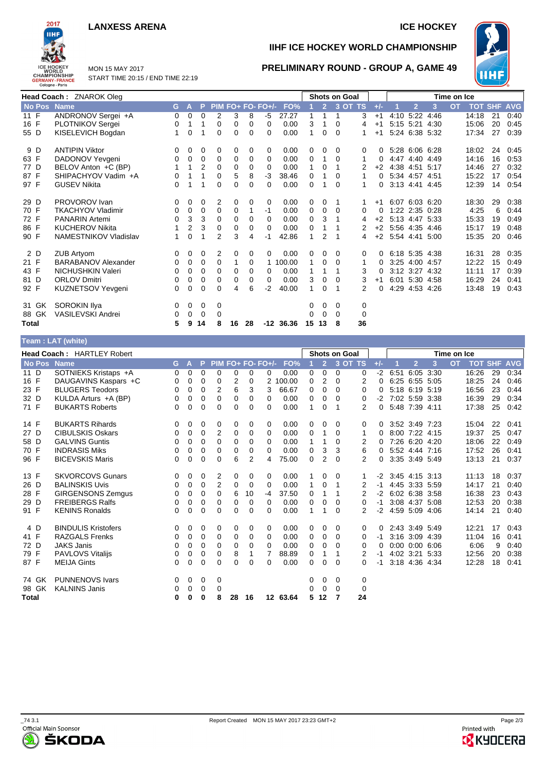### **LANXESS ARENA ICE HOCKEY**



## **IIHF ICE HOCKEY WORLD CHAMPIONSHIP**

**PRELIMINARY ROUND - GROUP A, GAME 49**



MON 15 MAY 2017 START TIME 20:15 / END TIME 22:19

|              | Head Coach: ZNAROK Oleg    |          |             |                |                |          |          |               |             |    |                | <b>Shots on Goal</b> |                |          |      |                |                   | Time on Ice |                |    |            |
|--------------|----------------------------|----------|-------------|----------------|----------------|----------|----------|---------------|-------------|----|----------------|----------------------|----------------|----------|------|----------------|-------------------|-------------|----------------|----|------------|
| No Pos Name  |                            | G        | A           | P              | <b>PIM</b>     |          |          | $FO+FO-FO+/-$ | FO%         |    | $\overline{2}$ |                      | 3 OT TS        | $+/-$    |      | $\overline{2}$ | 3                 | <b>OT</b>   | <b>TOT SHF</b> |    | <b>AVG</b> |
| 11 F         | ANDRONOV Sergei +A         | 0        | 0           | 0              | 2              | 3        | 8        | -5            | 27.27       | 1  |                | 1                    | 3              | $+1$     | 4:10 | 5:22           | 4:46              |             | 14:18          | 21 | 0:40       |
| 16 F         | PLOTNIKOV Sergei           | 0        |             | 1              | 0              | 0        | 0        | 0             | 0.00        | 3  |                | 0                    | 4              | $+1$     |      |                | 5:15 5:21 4:30    |             | 15:06          | 20 | 0:45       |
| 55 D         | KISELEVICH Bogdan          |          | $\mathbf 0$ |                | 0              | 0        | 0        | $\Omega$      | 0.00        | 1  | 0              | $\Omega$             | 1              | $+1$     |      |                | 5:24 6:38 5:32    |             | 17:34          | 27 | 0:39       |
| 9 D          | <b>ANTIPIN Viktor</b>      | 0        | 0           | 0              | 0              | 0        | 0        | 0             | 0.00        | 0  | 0              | 0                    | 0              |          |      |                | 5:28 6:06 6:28    |             | 18:02          | 24 | 0:45       |
| 63 F         | DADONOV Yevgeni            | 0        | 0           | $\mathbf 0$    | $\mathbf 0$    | 0        | 0        | $\Omega$      | 0.00        | 0  |                | $\Omega$             | 1              |          |      |                | 4:47 4:40 4:49    |             | 14:16          | 16 | 0:53       |
| 77 D         | BELOV Anton +C (BP)        |          |             | $\overline{2}$ | $\Omega$       | $\Omega$ | 0        | 0             | 0.00        | 1  | 0              |                      | 2              | $+2$     |      |                | 4:38 4:51 5:17    |             | 14:46          | 27 | 0:32       |
| 87 F         | SHIPACHYOV Vadim +A        | 0        |             |                | 0              | 5        | 8        | $-3$          | 38.46       | 0  |                | $\Omega$             | 1              | 0        |      | 5:34 4:57 4:51 |                   |             | 15:22          | 17 | 0:54       |
| 97 F         | <b>GUSEV Nikita</b>        | $\Omega$ |             | 1              | $\Omega$       | $\Omega$ | $\Omega$ | 0             | 0.00        | 0  |                | $\Omega$             | 1              | 0        |      |                | 3:13 4:41 4:45    |             | 12:39          | 14 | 0:54       |
| 29 D         | PROVOROV Ivan              | 0        | 0           | 0              | 2              | 0        | 0        | 0             | 0.00        | 0  | 0              |                      |                | $+1$     |      |                | 6:07 6:03 6:20    |             | 18:30          | 29 | 0:38       |
| 70 F         | <b>TKACHYOV Vladimir</b>   | 0        | 0           | 0              | 0              | 0        |          | -1            | 0.00        | 0  | 0              | 0                    | 0              | 0        |      |                | 1:22 2:35 0:28    |             | 4:25           | 6  | 0:44       |
| 72 F         | <b>PANARIN Artemi</b>      | $\Omega$ | 3           | 3              | $\mathbf 0$    | 0        | 0        | 0             | 0.00        | 0  | 3              |                      | 4              | $+2$     |      |                | 5:13 4:47 5:33    |             | 15:33          | 19 | 0:49       |
| 86 F         | <b>KUCHEROV Nikita</b>     |          | 2           | 3              | $\mathbf 0$    | 0        | 0        | 0             | 0.00        | 0  |                |                      |                | $+2$     |      |                | 5:56 4:35 4:46    |             | 15:17          | 19 | 0:48       |
| 90 F         | NAMESTNIKOV Vladislav      |          | $\Omega$    |                | $\overline{2}$ | 3        | 4        | $-1$          | 42.86       | 1  | 2              |                      | 4              |          |      |                | +2 5:54 4:41 5:00 |             | 15:35          | 20 | 0:46       |
| 2 D          | <b>ZUB Artvom</b>          | 0        | 0           | 0              | 2              | 0        | 0        | 0             | 0.00        | 0  | 0              | 0                    | 0              | 0        |      |                | 6.18 5.35 4.38    |             | 16:31          | 28 | 0:35       |
| 21 F         | <b>BARABANOV Alexander</b> | 0        | 0           | 0              | 0              | 1        | 0        |               | 1 100.00    | 1  | 0              | 0                    | 1              | 0        |      | 3:25 4:00 4:57 |                   |             | 12:22          | 15 | 0:49       |
| 43 F         | NICHUSHKIN Valeri          | 0        | 0           | 0              | 0              | 0        | 0        | 0             | 0.00        | 1  |                | 1                    | 3              | $\Omega$ |      |                | 3:12 3:27 4:32    |             | 11:11          | 17 | 0:39       |
| 81 D         | <b>ORLOV Dmitri</b>        | 0        | 0           | 0              | 0              | 0        | 0        | 0             | 0.00        | 3  | 0              | $\Omega$             | 3              | $+1$     |      |                | 6:01 5:30 4:58    |             | 16:29          | 24 | 0:41       |
| 92 F         | KUZNETSOV Yevgeni          | 0        | 0           | 0              | 0              | 4        | 6        | $-2$          | 40.00       | 1  | 0              |                      | $\overline{2}$ | 0        | 4:29 |                | 4:53 4:26         |             | 13:48          | 19 | 0:43       |
| 31 GK        | <b>SOROKIN IIva</b>        | 0        | 0           | $\mathbf 0$    | 0              |          |          |               |             | 0  | 0              | 0                    | 0              |          |      |                |                   |             |                |    |            |
| 88 GK        | <b>VASILEVSKI Andrei</b>   | $\Omega$ | 0           | 0              | 0              |          |          |               |             | 0  | $\Omega$       | $\Omega$             | $\Omega$       |          |      |                |                   |             |                |    |            |
| <b>Total</b> |                            | 5        | 9           | 14             | 8              | 16       | 28       |               | $-12$ 36.36 | 15 | 13             | 8                    | 36             |          |      |                |                   |             |                |    |            |
|              | Toam · I AT (white)        |          |             |                |                |          |          |               |             |    |                |                      |                |          |      |                |                   |             |                |    |            |

|              | $\text{F}$ am. LAT (Willie) |    |   |    |             |          |                |                   |          |   |                |               |                |       |                |                    |   |             |            |            |            |
|--------------|-----------------------------|----|---|----|-------------|----------|----------------|-------------------|----------|---|----------------|---------------|----------------|-------|----------------|--------------------|---|-------------|------------|------------|------------|
|              | Head Coach: HARTLEY Robert  |    |   |    |             |          |                |                   |          |   |                | Shots on Goal |                |       |                |                    |   | Time on Ice |            |            |            |
| No Pos       | <b>Name</b>                 | G. | A | P. |             |          |                | PIM FO+ FO- FO+/- | FO%      |   | $\overline{2}$ | 3 OT TS       |                | $+/-$ |                | $\overline{2}$     | 3 | <b>OT</b>   | <b>TOT</b> | <b>SHF</b> | <b>AVG</b> |
| 11 D         | SOTNIEKS Kristaps +A        | 0  | 0 | 0  | 0           | 0        | 0              | 0                 | 0.00     | 0 | 0              | 0             | 0              | $-2$  | 6:51           | 6:05 3:30          |   |             | 16:26      | 29         | 0:34       |
| 16 F         | DAUGAVINS Kaspars +C        | 0  | 0 | 0  | 0           | 2        | 0              | $\overline{2}$    | 100.00   | 0 | $\overline{2}$ | 0             | 2              | 0     |                | 6:25 6:55 5:05     |   |             | 18:25      | 24         | 0:46       |
| 23 F         | <b>BLUGERS Teodors</b>      | 0  | 0 | 0  | 2           | 6        | 3              | 3                 | 66.67    | 0 | 0              | 0             | 0              | 0     |                | 5:18 6:19 5:19     |   |             | 16:56      | 23         | 0:44       |
| 32 D         | KULDA Arturs +A (BP)        | 0  | 0 | 0  | $\Omega$    | 0        | 0              | 0                 | 0.00     | 0 | 0              | 0             | 0              | $-2$  |                | 7:02 5:59 3:38     |   |             | 16:39      | 29         | 0:34       |
| 71 F         | <b>BUKARTS Roberts</b>      | 0  | 0 | 0  | 0           | $\Omega$ | $\Omega$       | 0                 | 0.00     | 1 | 0              | 1             | 2              | 0     |                | 5:48 7:39 4:11     |   |             | 17:38      | 25         | 0:42       |
| 14 F         | <b>BUKARTS Rihards</b>      | 0  | 0 | 0  | 0           | 0        | 0              | 0                 | 0.00     | 0 | 0              | 0             | 0              | 0     |                | 3:52 3:49 7:23     |   |             | 15:04      | 22         | 0:41       |
| 27 D         | <b>CIBULSKIS Oskars</b>     | 0  | 0 | 0  | 2           | 0        | 0              | 0                 | 0.00     | 0 | 1              | $\Omega$      | 1              | 0     |                | 8:00 7:22 4:15     |   |             | 19:37      | 25         | 0:47       |
| 58 D         | <b>GALVINS Guntis</b>       | 0  | 0 | 0  | $\Omega$    | 0        | $\Omega$       | 0                 | 0.00     | 1 | 1              | 0             | 2              | 0     |                | 7:26 6:20 4:20     |   |             | 18:06      | 22         | 0:49       |
| 70 F         | <b>INDRASIS Miks</b>        | 0  | 0 | 0  | $\Omega$    | 0        | 0              | 0                 | 0.00     | 0 | 3              | 3             | 6              | 0     |                | 5:52 4:44 7:16     |   |             | 17:52      | 26         | 0:41       |
| 96 F         | <b>BICEVSKIS Maris</b>      | 0  | 0 | 0  | $\mathbf 0$ | 6        | $\overline{2}$ | 4                 | 75.00    | 0 | $\overline{2}$ | $\Omega$      | $\overline{2}$ | 0     |                | 3:35 3:49 5:49     |   |             | 13:13      | 21         | 0:37       |
| 13 F         | <b>SKVORCOVS Gunars</b>     | 0  | 0 | 0  | 2           | 0        | 0              | 0                 | 0.00     |   | 0              | 0             |                | $-2$  | 3:45 4:15 3:13 |                    |   |             | 11:13      | 18         | 0:37       |
| 26 D         | <b>BALINSKIS Uvis</b>       | 0  | 0 | 0  | 2           | 0        | 0              | 0                 | 0.00     | 1 | 0              | 1             | 2              | -1    |                | 4:45 3:33 5:59     |   |             | 14:17      | 21         | 0:40       |
| 28 F         | <b>GIRGENSONS Zemgus</b>    | 0  | 0 | 0  | 0           | 6        | 10             | $-4$              | 37.50    | 0 | 1              | 1             | 2              | $-2$  | 6:02 6:38 3:58 |                    |   |             | 16:38      | 23         | 0:43       |
| 29 D         | <b>FREIBERGS Ralfs</b>      | 0  | 0 | 0  | 0           | 0        | 0              | 0                 | 0.00     | 0 | 0              | 0             | 0              | -1    |                | 3:08 4:37 5:08     |   |             | 12:53      | 20         | 0:38       |
| 91 F         | <b>KENINS Ronalds</b>       | 0  | 0 | 0  | $\Omega$    | $\Omega$ | $\Omega$       | 0                 | 0.00     | 1 | 1              | 0             | 2              | $-2$  |                | 4:59 5:09 4:06     |   |             | 14:14      | 21         | 0:40       |
| 4 D          | <b>BINDULIS Kristofers</b>  | 0  | 0 | 0  | 0           | 0        | 0              | 0                 | 0.00     | 0 | 0              | 0             | 0              | 0     |                | 2:43 3:49 5:49     |   |             | 12:21      | 17         | 0:43       |
| 41 F         | <b>RAZGALS Frenks</b>       | 0  | 0 | 0  | 0           | 0        | 0              | 0                 | 0.00     | 0 | 0              | 0             | 0              | -1    |                | 3:16 3:09 4:39     |   |             | 11:04      | 16         | 0:41       |
| 72 D         | <b>JAKS Janis</b>           | 0  | 0 | 0  | 0           | 0        | 0              | 0                 | 0.00     | 0 | 0              | $\Omega$      | 0              | 0     |                | $0:00$ $0:00$ 6:06 |   |             | 6:06       | 9          | 0:40       |
| 79 F         | <b>PAVLOVS Vitalijs</b>     | 0  | 0 | 0  | 0           | 8        | 1              | 7                 | 88.89    | 0 | 1              |               | 2              | -1    |                | 4:02 3:21 5:33     |   |             | 12:56      | 20         | 0:38       |
| 87 F         | <b>MEIJA Gints</b>          | 0  | 0 | 0  | 0           | 0        | $\Omega$       | 0                 | 0.00     | 0 | $\Omega$       | $\Omega$      | 0              | -1    |                | 3:18 4:36 4:34     |   |             | 12:28      | 18         | 0:41       |
| 74 GK        | <b>PUNNENOVS Ivars</b>      | 0  | 0 | 0  | 0           |          |                |                   |          | 0 | 0              | 0             | 0              |       |                |                    |   |             |            |            |            |
| 98 GK        | <b>KALNINS Janis</b>        | 0  | 0 | 0  | 0           |          |                |                   |          | 0 | 0              | $\Omega$      | 0              |       |                |                    |   |             |            |            |            |
| <b>Total</b> |                             | 0  | 0 | 0  | 8           | 28       | 16             |                   | 12 63.64 | 5 | 12             | 7             | 24             |       |                |                    |   |             |            |            |            |